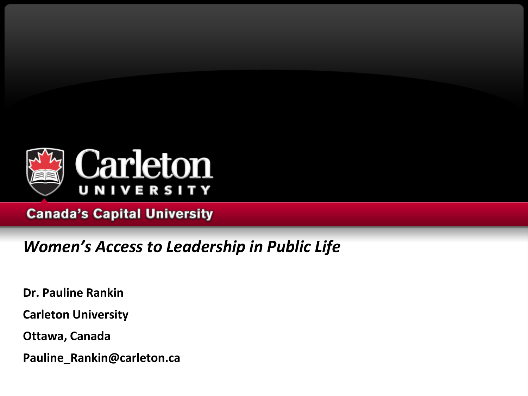

## **Canada's Capital University**

## *Women's Access to Leadership in Public Life*

**Dr. Pauline Rankin** 

**Carleton University**

**Ottawa, Canada**

**Pauline\_Rankin@carleton.ca**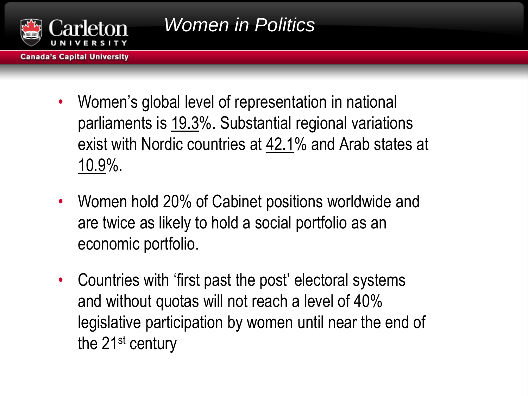

- **Canada's Capital University** 
	- Women's global level of representation in national parliaments is 19.3%. Substantial regional variations exist with Nordic countries at 42.1% and Arab states at 10.9%.
	- Women hold 20% of Cabinet positions worldwide and are twice as likely to hold a social portfolio as an economic portfolio.
	- Countries with 'first past the post' electoral systems and without quotas will not reach a level of 40% legislative participation by women until near the end of the 21<sup>st</sup> century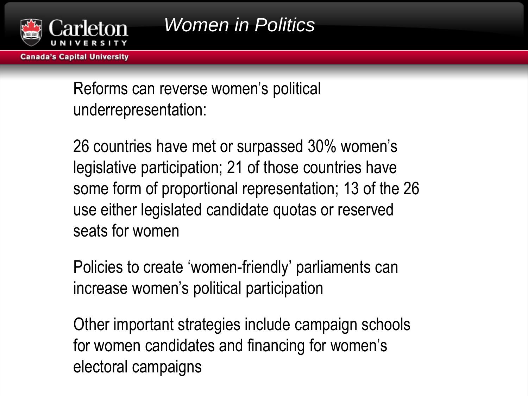

**Canada's Capital University** 

Reforms can reverse women's political underrepresentation:

26 countries have met or surpassed 30% women's legislative participation; 21 of those countries have some form of proportional representation; 13 of the 26 use either legislated candidate quotas or reserved seats for women

Policies to create 'women-friendly' parliaments can increase women's political participation

Other important strategies include campaign schools for women candidates and financing for women's electoral campaigns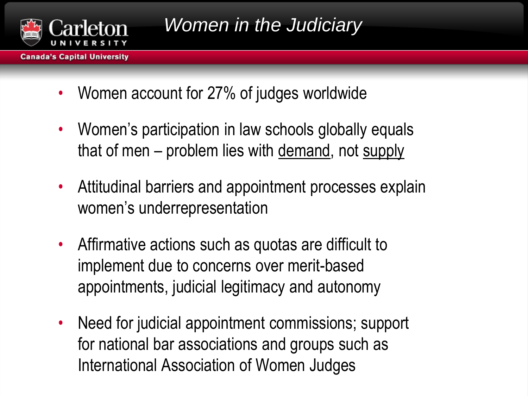

- **Canada's Capital University** 
	- Women account for 27% of judges worldwide
	- Women's participation in law schools globally equals that of men - problem lies with demand, not supply
	- Attitudinal barriers and appointment processes explain women's underrepresentation
	- Affirmative actions such as quotas are difficult to implement due to concerns over merit-based appointments, judicial legitimacy and autonomy
	- Need for judicial appointment commissions; support for national bar associations and groups such as International Association of Women Judges